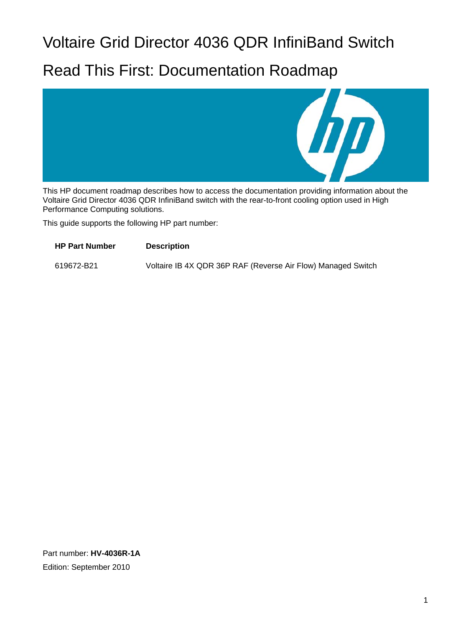# Voltaire Grid Director 4036 QDR InfiniBand Switch

# Read This First: Documentation Roadmap



This HP document roadmap describes how to access the documentation providing information about the Voltaire Grid Director 4036 QDR InfiniBand switch with the rear-to-front cooling option used in High Performance Computing solutions.

This guide supports the following HP part number:

**HP Part Number Description**  619672-B21 Voltaire IB 4X QDR 36P RAF (Reverse Air Flow) Managed Switch

Part number: **HV-4036R-1A** Edition: September 2010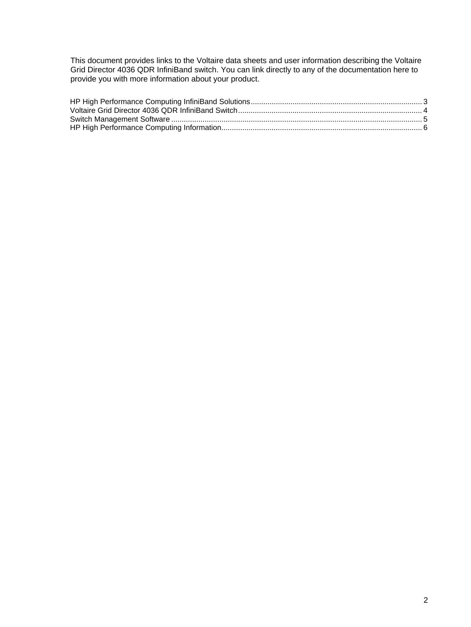This document provides links to the Voltaire data sheets and user information describing the Voltaire Grid Director 4036 QDR InfiniBand switch. You can link directly to any of the documentation here to provide you with more information about your product.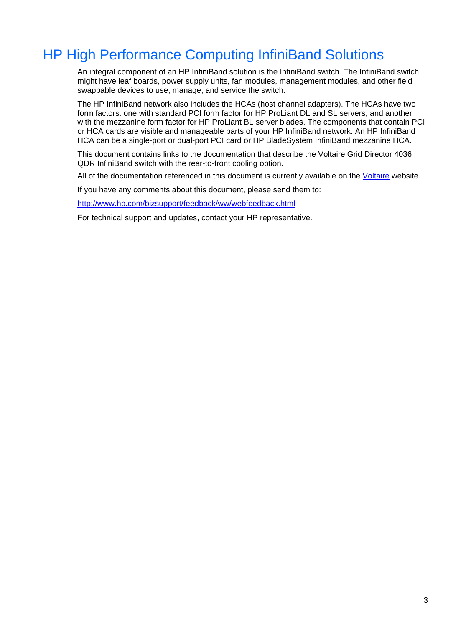## <span id="page-2-0"></span>HP High Performance Computing InfiniBand Solutions

An integral component of an HP InfiniBand solution is the InfiniBand switch. The InfiniBand switch might have leaf boards, power supply units, fan modules, management modules, and other field swappable devices to use, manage, and service the switch.

The HP InfiniBand network also includes the HCAs (host channel adapters). The HCAs have two form factors: one with standard PCI form factor for HP ProLiant DL and SL servers, and another with the mezzanine form factor for HP ProLiant BL server blades. The components that contain PCI or HCA cards are visible and manageable parts of your HP InfiniBand network. An HP InfiniBand HCA can be a single-port or dual-port PCI card or HP BladeSystem InfiniBand mezzanine HCA.

This document contains links to the documentation that describe the Voltaire Grid Director 4036 QDR InfiniBand switch with the rear-to-front cooling option.

All of the documentation referenced in this document is currently available on the [Voltaire](http://www.voltaire.com/) website.

If you have any comments about this document, please send them to:

<http://www.hp.com/bizsupport/feedback/ww/webfeedback.html>

For technical support and updates, contact your HP representative.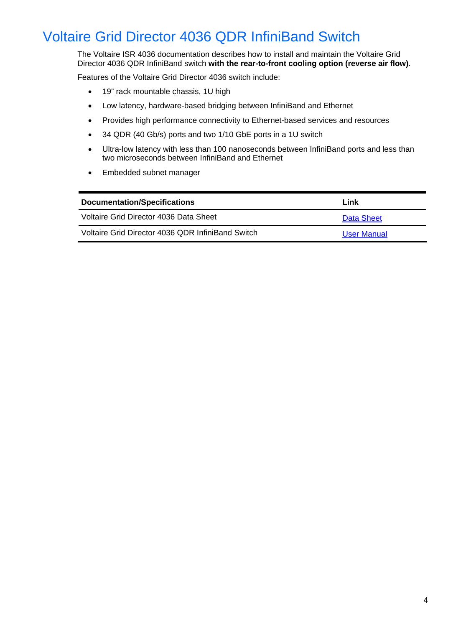## <span id="page-3-0"></span>Voltaire Grid Director 4036 QDR InfiniBand Switch

The Voltaire ISR 4036 documentation describes how to install and maintain the Voltaire Grid Director 4036 QDR InfiniBand switch **with the rear-to-front cooling option (reverse air flow)**.

Features of the Voltaire Grid Director 4036 switch include:

- 19" rack mountable chassis, 1U high
- Low latency, hardware-based bridging between InfiniBand and Ethernet
- Provides high performance connectivity to Ethernet-based services and resources
- 34 QDR (40 Gb/s) ports and two 1/10 GbE ports in a 1U switch
- Ultra-low latency with less than 100 nanoseconds between InfiniBand ports and less than two microseconds between InfiniBand and Ethernet
- Embedded subnet manager

| Documentation/Specifications                      | Link        |
|---------------------------------------------------|-------------|
| Voltaire Grid Director 4036 Data Sheet            | Data Sheet  |
| Voltaire Grid Director 4036 QDR InfiniBand Switch | User Manual |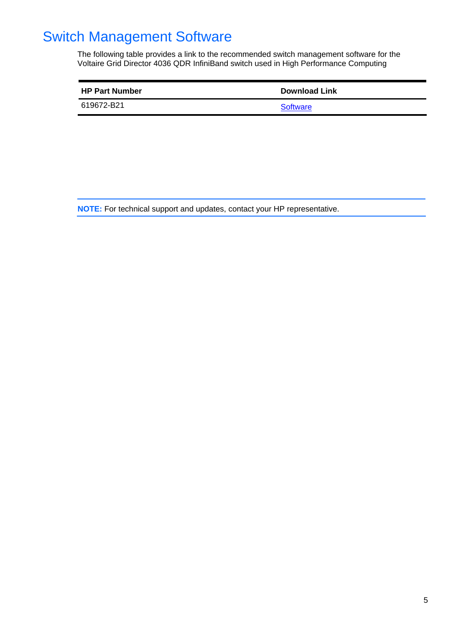## <span id="page-4-0"></span>Switch Management Software

The following table provides a link to the recommended switch management software for the Voltaire Grid Director 4036 QDR InfiniBand switch used in High Performance Computing

| <b>HP Part Number</b> | <b>Download Link</b> |
|-----------------------|----------------------|
| 619672-B21            | <b>Software</b>      |

**NOTE:** For technical support and updates, contact your HP representative.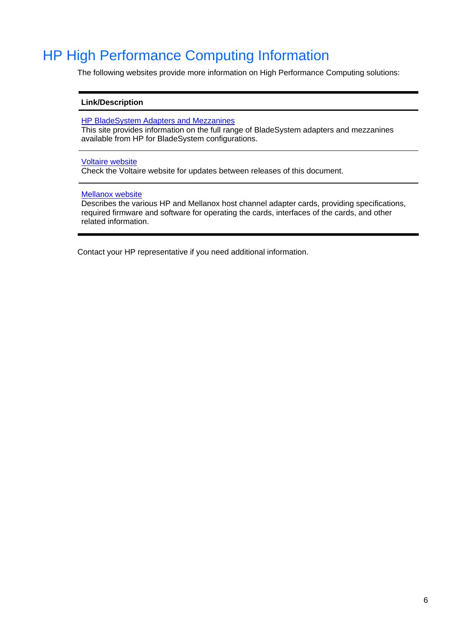### <span id="page-5-0"></span>HP High Performance Computing Information

The following websites provide more information on High Performance Computing solutions:

#### **Link/Description**

[HP BladeSystem Adapters and Mezzanines](http://h18004.www1.hp.com/products/blades/components/c-class-adapters.html)

This site provides information on the full range of BladeSystem adapters and mezzanines available from HP for BladeSystem configurations.

### [Voltaire website](http://www.voltaire.com/)

Check the Voltaire website for updates between releases of this document.

#### [Mellanox website](http://www.mellanox.com/content/pages.php?pg=software_overview_eth&menu_section=35)

Describes the various HP and Mellanox host channel adapter cards, providing specifications, required firmware and software for operating the cards, interfaces of the cards, and other related information.

Contact your HP representative if you need additional information.